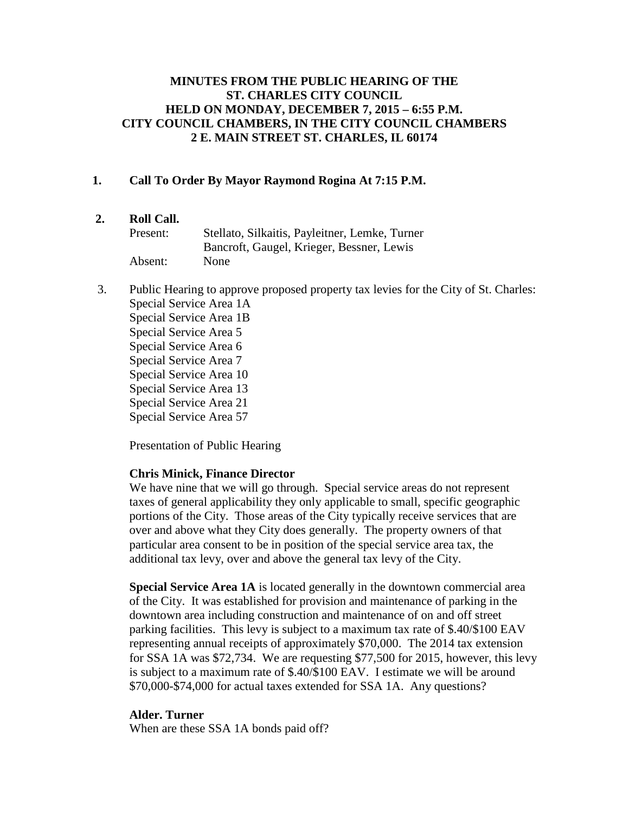## **MINUTES FROM THE PUBLIC HEARING OF THE ST. CHARLES CITY COUNCIL HELD ON MONDAY, DECEMBER 7, 2015 – 6:55 P.M. CITY COUNCIL CHAMBERS, IN THE CITY COUNCIL CHAMBERS 2 E. MAIN STREET ST. CHARLES, IL 60174**

## **1. Call To Order By Mayor Raymond Rogina At 7:15 P.M.**

## **2. Roll Call.**

| Present: | Stellato, Silkaitis, Payleitner, Lemke, Turner |
|----------|------------------------------------------------|
|          | Bancroft, Gaugel, Krieger, Bessner, Lewis      |
| Absent:  | None                                           |

3. Public Hearing to approve proposed property tax levies for the City of St. Charles: Special Service Area 1A Special Service Area 1B Special Service Area 5 Special Service Area 6 Special Service Area 7 Special Service Area 10 Special Service Area 13 Special Service Area 21 Special Service Area 57

Presentation of Public Hearing

#### **Chris Minick, Finance Director**

We have nine that we will go through. Special service areas do not represent taxes of general applicability they only applicable to small, specific geographic portions of the City. Those areas of the City typically receive services that are over and above what they City does generally. The property owners of that particular area consent to be in position of the special service area tax, the additional tax levy, over and above the general tax levy of the City.

**Special Service Area 1A** is located generally in the downtown commercial area of the City. It was established for provision and maintenance of parking in the downtown area including construction and maintenance of on and off street parking facilities. This levy is subject to a maximum tax rate of \$.40/\$100 EAV representing annual receipts of approximately \$70,000. The 2014 tax extension for SSA 1A was \$72,734. We are requesting \$77,500 for 2015, however, this levy is subject to a maximum rate of \$.40/\$100 EAV. I estimate we will be around \$70,000-\$74,000 for actual taxes extended for SSA 1A. Any questions?

#### **Alder. Turner**

When are these SSA 1A bonds paid off?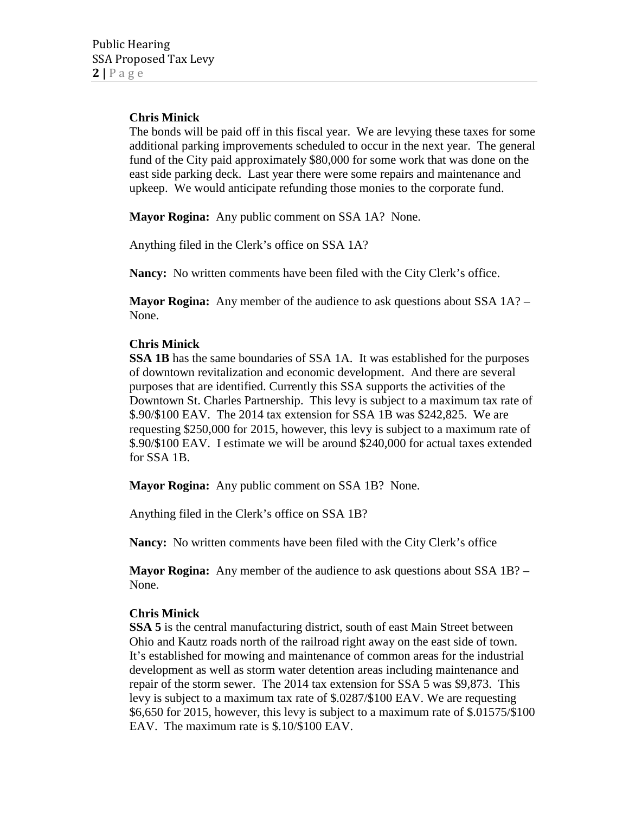# **Chris Minick**

The bonds will be paid off in this fiscal year. We are levying these taxes for some additional parking improvements scheduled to occur in the next year. The general fund of the City paid approximately \$80,000 for some work that was done on the east side parking deck. Last year there were some repairs and maintenance and upkeep. We would anticipate refunding those monies to the corporate fund.

**Mayor Rogina:** Any public comment on SSA 1A? None.

Anything filed in the Clerk's office on SSA 1A?

**Nancy:** No written comments have been filed with the City Clerk's office.

**Mayor Rogina:** Any member of the audience to ask questions about SSA 1A? – None.

## **Chris Minick**

**SSA 1B** has the same boundaries of SSA 1A. It was established for the purposes of downtown revitalization and economic development. And there are several purposes that are identified. Currently this SSA supports the activities of the Downtown St. Charles Partnership. This levy is subject to a maximum tax rate of \$.90/\$100 EAV. The 2014 tax extension for SSA 1B was \$242,825. We are requesting \$250,000 for 2015, however, this levy is subject to a maximum rate of \$.90/\$100 EAV. I estimate we will be around \$240,000 for actual taxes extended for SSA 1B.

**Mayor Rogina:** Any public comment on SSA 1B? None.

Anything filed in the Clerk's office on SSA 1B?

**Nancy:** No written comments have been filed with the City Clerk's office

**Mayor Rogina:** Any member of the audience to ask questions about SSA 1B? – None.

## **Chris Minick**

**SSA 5** is the central manufacturing district, south of east Main Street between Ohio and Kautz roads north of the railroad right away on the east side of town. It's established for mowing and maintenance of common areas for the industrial development as well as storm water detention areas including maintenance and repair of the storm sewer. The 2014 tax extension for SSA 5 was \$9,873. This levy is subject to a maximum tax rate of \$.0287/\$100 EAV. We are requesting \$6,650 for 2015, however, this levy is subject to a maximum rate of \$.01575/\$100 EAV. The maximum rate is \$.10/\$100 EAV.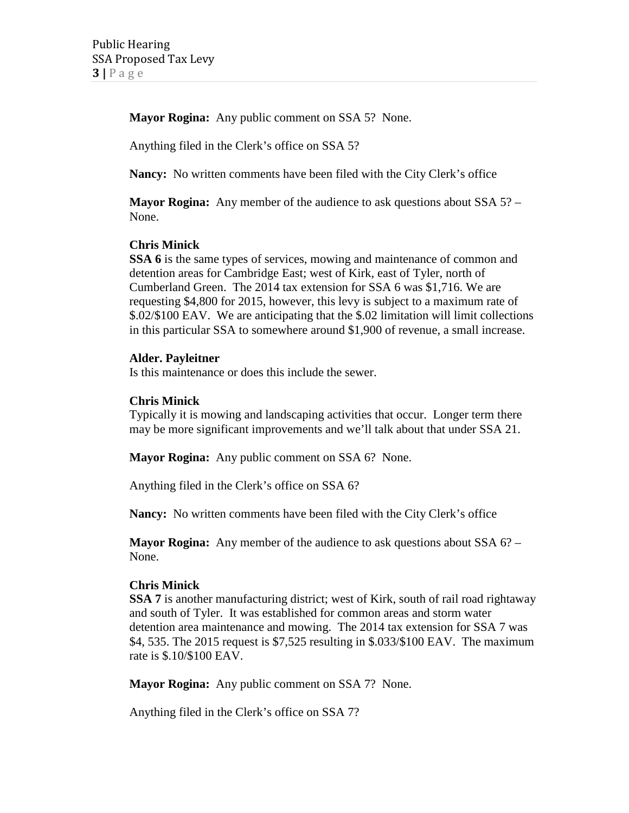**Mayor Rogina:** Any public comment on SSA 5? None.

Anything filed in the Clerk's office on SSA 5?

**Nancy:** No written comments have been filed with the City Clerk's office

**Mayor Rogina:** Any member of the audience to ask questions about SSA 5? – None.

## **Chris Minick**

**SSA 6** is the same types of services, mowing and maintenance of common and detention areas for Cambridge East; west of Kirk, east of Tyler, north of Cumberland Green. The 2014 tax extension for SSA 6 was \$1,716. We are requesting \$4,800 for 2015, however, this levy is subject to a maximum rate of \$.02/\$100 EAV. We are anticipating that the \$.02 limitation will limit collections in this particular SSA to somewhere around \$1,900 of revenue, a small increase.

#### **Alder. Payleitner**

Is this maintenance or does this include the sewer.

#### **Chris Minick**

Typically it is mowing and landscaping activities that occur. Longer term there may be more significant improvements and we'll talk about that under SSA 21.

**Mayor Rogina:** Any public comment on SSA 6? None.

Anything filed in the Clerk's office on SSA 6?

**Nancy:** No written comments have been filed with the City Clerk's office

**Mayor Rogina:** Any member of the audience to ask questions about SSA 6? – None.

#### **Chris Minick**

**SSA 7** is another manufacturing district; west of Kirk, south of rail road rightaway and south of Tyler. It was established for common areas and storm water detention area maintenance and mowing. The 2014 tax extension for SSA 7 was \$4, 535. The 2015 request is \$7,525 resulting in \$.033/\$100 EAV. The maximum rate is \$.10/\$100 EAV.

**Mayor Rogina:** Any public comment on SSA 7? None.

Anything filed in the Clerk's office on SSA 7?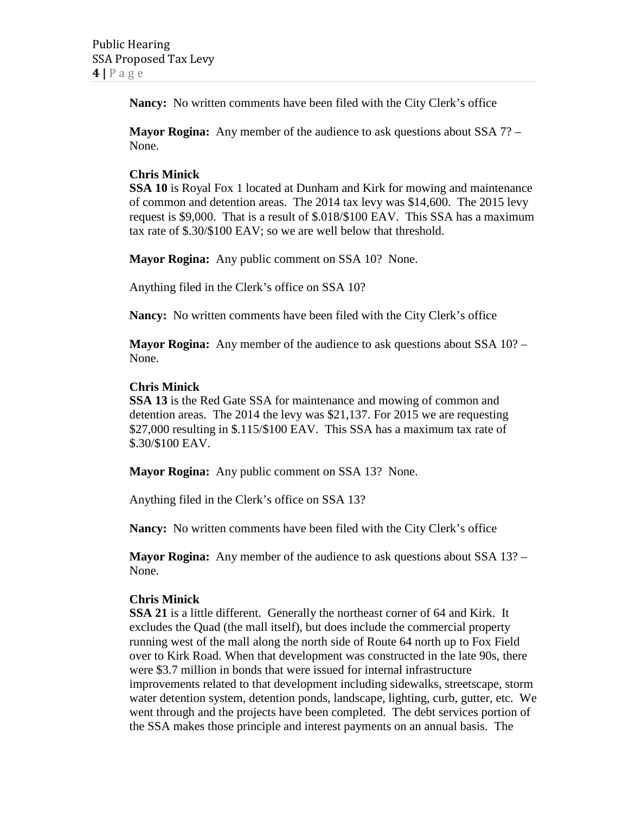**Nancy:** No written comments have been filed with the City Clerk's office

**Mayor Rogina:** Any member of the audience to ask questions about SSA 7? – None.

## **Chris Minick**

**SSA 10** is Royal Fox 1 located at Dunham and Kirk for mowing and maintenance of common and detention areas. The 2014 tax levy was \$14,600. The 2015 levy request is \$9,000. That is a result of \$.018/\$100 EAV. This SSA has a maximum tax rate of \$.30/\$100 EAV; so we are well below that threshold.

**Mayor Rogina:** Any public comment on SSA 10? None.

Anything filed in the Clerk's office on SSA 10?

**Nancy:** No written comments have been filed with the City Clerk's office

**Mayor Rogina:** Any member of the audience to ask questions about SSA 10? – None.

## **Chris Minick**

**SSA 13** is the Red Gate SSA for maintenance and mowing of common and detention areas. The 2014 the levy was \$21,137. For 2015 we are requesting \$27,000 resulting in \$.115/\$100 EAV. This SSA has a maximum tax rate of \$.30/\$100 EAV.

**Mayor Rogina:** Any public comment on SSA 13? None.

Anything filed in the Clerk's office on SSA 13?

**Nancy:** No written comments have been filed with the City Clerk's office

**Mayor Rogina:** Any member of the audience to ask questions about SSA 13? – None.

## **Chris Minick**

**SSA 21** is a little different. Generally the northeast corner of 64 and Kirk. It excludes the Quad (the mall itself), but does include the commercial property running west of the mall along the north side of Route 64 north up to Fox Field over to Kirk Road. When that development was constructed in the late 90s, there were \$3.7 million in bonds that were issued for internal infrastructure improvements related to that development including sidewalks, streetscape, storm water detention system, detention ponds, landscape, lighting, curb, gutter, etc. We went through and the projects have been completed. The debt services portion of the SSA makes those principle and interest payments on an annual basis. The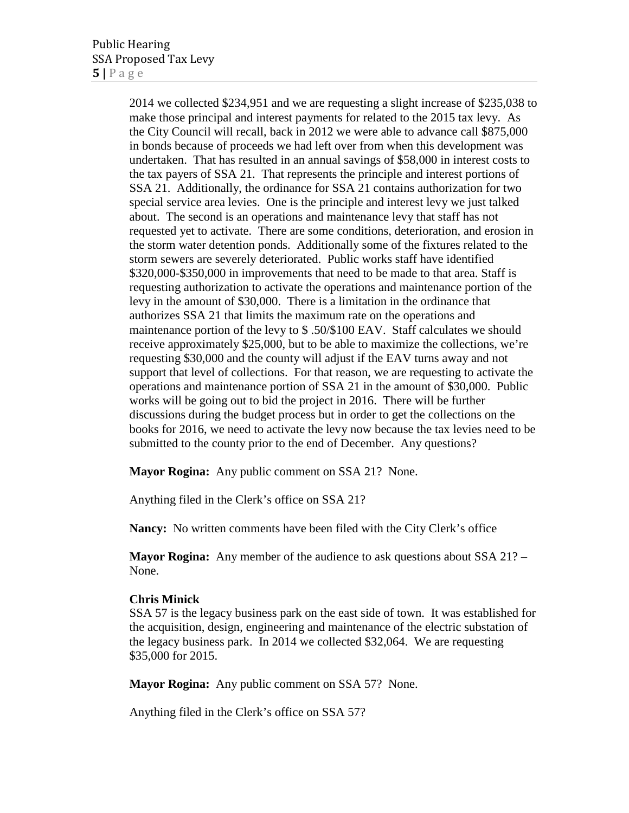2014 we collected \$234,951 and we are requesting a slight increase of \$235,038 to make those principal and interest payments for related to the 2015 tax levy. As the City Council will recall, back in 2012 we were able to advance call \$875,000 in bonds because of proceeds we had left over from when this development was undertaken. That has resulted in an annual savings of \$58,000 in interest costs to the tax payers of SSA 21. That represents the principle and interest portions of SSA 21. Additionally, the ordinance for SSA 21 contains authorization for two special service area levies. One is the principle and interest levy we just talked about. The second is an operations and maintenance levy that staff has not requested yet to activate. There are some conditions, deterioration, and erosion in the storm water detention ponds. Additionally some of the fixtures related to the storm sewers are severely deteriorated. Public works staff have identified \$320,000-\$350,000 in improvements that need to be made to that area. Staff is requesting authorization to activate the operations and maintenance portion of the levy in the amount of \$30,000. There is a limitation in the ordinance that authorizes SSA 21 that limits the maximum rate on the operations and maintenance portion of the levy to \$ .50/\$100 EAV. Staff calculates we should receive approximately \$25,000, but to be able to maximize the collections, we're requesting \$30,000 and the county will adjust if the EAV turns away and not support that level of collections. For that reason, we are requesting to activate the operations and maintenance portion of SSA 21 in the amount of \$30,000. Public works will be going out to bid the project in 2016. There will be further discussions during the budget process but in order to get the collections on the books for 2016, we need to activate the levy now because the tax levies need to be submitted to the county prior to the end of December. Any questions?

**Mayor Rogina:** Any public comment on SSA 21? None.

Anything filed in the Clerk's office on SSA 21?

**Nancy:** No written comments have been filed with the City Clerk's office

**Mayor Rogina:** Any member of the audience to ask questions about SSA 21? – None.

#### **Chris Minick**

SSA 57 is the legacy business park on the east side of town. It was established for the acquisition, design, engineering and maintenance of the electric substation of the legacy business park. In 2014 we collected \$32,064. We are requesting \$35,000 for 2015.

**Mayor Rogina:** Any public comment on SSA 57? None.

Anything filed in the Clerk's office on SSA 57?